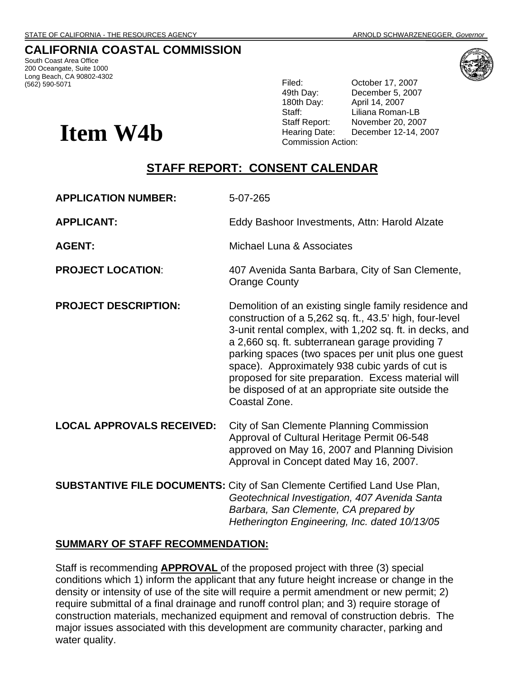## **CALIFORNIA COASTAL COMMISSION**

South Coast Area Office 200 Oceangate, Suite 1000 Long Beach, CA 90802-4302<br>(562) 590-5071



Filed: **October 17, 2007** 49th Day: December 5, 2007 180th Day: April 14, 2007 Staff: Liliana Roman-LB Staff Report: November 20, 2007 **Item W4b**<br> **Exam Rearing Date:** December 12-14, 2007<br>
Commission Action:

# **STAFF REPORT: CONSENT CALENDAR**

| <b>APPLICATION NUMBER:</b>       | 5-07-265                                                                                                                                                                                                                                                                                                                                                                                                                                                             |
|----------------------------------|----------------------------------------------------------------------------------------------------------------------------------------------------------------------------------------------------------------------------------------------------------------------------------------------------------------------------------------------------------------------------------------------------------------------------------------------------------------------|
| <b>APPLICANT:</b>                | Eddy Bashoor Investments, Attn: Harold Alzate                                                                                                                                                                                                                                                                                                                                                                                                                        |
| <b>AGENT:</b>                    | Michael Luna & Associates                                                                                                                                                                                                                                                                                                                                                                                                                                            |
| <b>PROJECT LOCATION:</b>         | 407 Avenida Santa Barbara, City of San Clemente,<br><b>Orange County</b>                                                                                                                                                                                                                                                                                                                                                                                             |
| <b>PROJECT DESCRIPTION:</b>      | Demolition of an existing single family residence and<br>construction of a 5,262 sq. ft., 43.5' high, four-level<br>3-unit rental complex, with 1,202 sq. ft. in decks, and<br>a 2,660 sq. ft. subterranean garage providing 7<br>parking spaces (two spaces per unit plus one guest<br>space). Approximately 938 cubic yards of cut is<br>proposed for site preparation. Excess material will<br>be disposed of at an appropriate site outside the<br>Coastal Zone. |
| <b>LOCAL APPROVALS RECEIVED:</b> | City of San Clemente Planning Commission<br>Approval of Cultural Heritage Permit 06-548<br>approved on May 16, 2007 and Planning Division<br>Approval in Concept dated May 16, 2007.                                                                                                                                                                                                                                                                                 |

**SUBSTANTIVE FILE DOCUMENTS:** City of San Clemente Certified Land Use Plan, *Geotechnical Investigation, 407 Avenida Santa Barbara, San Clemente, CA prepared by Hetherington Engineering, Inc. dated 10/13/05* 

## **SUMMARY OF STAFF RECOMMENDATION:**

Staff is recommending **APPROVAL** of the proposed project with three (3) special conditions which 1) inform the applicant that any future height increase or change in the density or intensity of use of the site will require a permit amendment or new permit; 2) require submittal of a final drainage and runoff control plan; and 3) require storage of construction materials, mechanized equipment and removal of construction debris. The major issues associated with this development are community character, parking and water quality.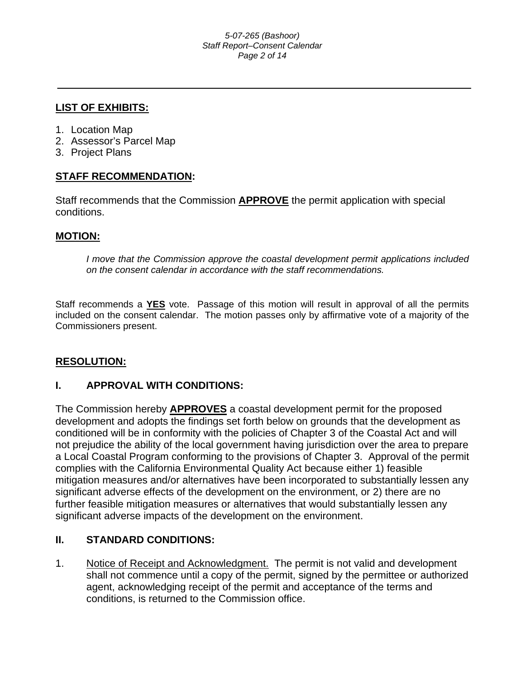### *5-07-265 (Bashoor) Staff Report–Consent Calendar Page 2 of 14*

## **LIST OF EXHIBITS:**

- 1. Location Map
- 2. Assessor's Parcel Map
- 3. Project Plans

## **STAFF RECOMMENDATION:**

Staff recommends that the Commission **APPROVE** the permit application with special conditions.

### **MOTION:**

*I move that the Commission approve the coastal development permit applications included on the consent calendar in accordance with the staff recommendations.*

Staff recommends a **YES** vote. Passage of this motion will result in approval of all the permits included on the consent calendar. The motion passes only by affirmative vote of a majority of the Commissioners present.

## **RESOLUTION:**

## **I. APPROVAL WITH CONDITIONS:**

The Commission hereby **APPROVES** a coastal development permit for the proposed development and adopts the findings set forth below on grounds that the development as conditioned will be in conformity with the policies of Chapter 3 of the Coastal Act and will not prejudice the ability of the local government having jurisdiction over the area to prepare a Local Coastal Program conforming to the provisions of Chapter 3. Approval of the permit complies with the California Environmental Quality Act because either 1) feasible mitigation measures and/or alternatives have been incorporated to substantially lessen any significant adverse effects of the development on the environment, or 2) there are no further feasible mitigation measures or alternatives that would substantially lessen any significant adverse impacts of the development on the environment.

## **II. STANDARD CONDITIONS:**

1. Notice of Receipt and Acknowledgment. The permit is not valid and development shall not commence until a copy of the permit, signed by the permittee or authorized agent, acknowledging receipt of the permit and acceptance of the terms and conditions, is returned to the Commission office.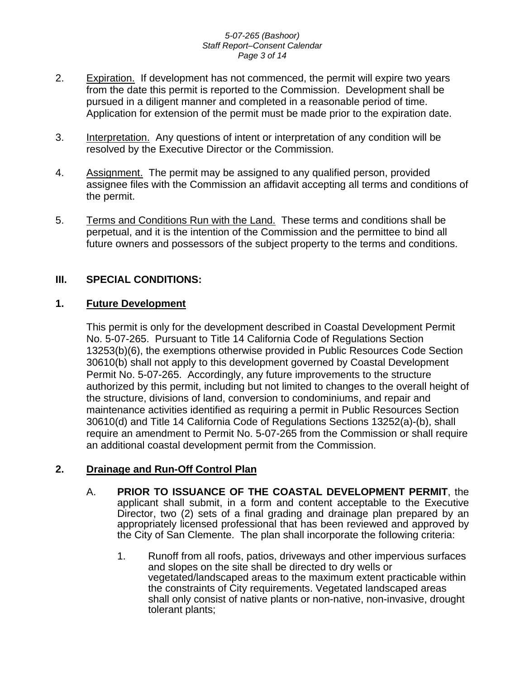- 2. Expiration. If development has not commenced, the permit will expire two years from the date this permit is reported to the Commission. Development shall be pursued in a diligent manner and completed in a reasonable period of time. Application for extension of the permit must be made prior to the expiration date.
- 3. Interpretation. Any questions of intent or interpretation of any condition will be resolved by the Executive Director or the Commission.
- 4. Assignment. The permit may be assigned to any qualified person, provided assignee files with the Commission an affidavit accepting all terms and conditions of the permit.
- 5. Terms and Conditions Run with the Land. These terms and conditions shall be perpetual, and it is the intention of the Commission and the permittee to bind all future owners and possessors of the subject property to the terms and conditions.

## **III. SPECIAL CONDITIONS:**

## **1. Future Development**

This permit is only for the development described in Coastal Development Permit No. 5-07-265. Pursuant to Title 14 California Code of Regulations Section 13253(b)(6), the exemptions otherwise provided in Public Resources Code Section 30610(b) shall not apply to this development governed by Coastal Development Permit No. 5-07-265. Accordingly, any future improvements to the structure authorized by this permit, including but not limited to changes to the overall height of the structure, divisions of land, conversion to condominiums, and repair and maintenance activities identified as requiring a permit in Public Resources Section 30610(d) and Title 14 California Code of Regulations Sections 13252(a)-(b), shall require an amendment to Permit No. 5-07-265 from the Commission or shall require an additional coastal development permit from the Commission.

## **2. Drainage and Run-Off Control Plan**

- A. **PRIOR TO ISSUANCE OF THE COASTAL DEVELOPMENT PERMIT**, the applicant shall submit, in a form and content acceptable to the Executive Director, two (2) sets of a final grading and drainage plan prepared by an appropriately licensed professional that has been reviewed and approved by the City of San Clemente. The plan shall incorporate the following criteria:
	- 1. Runoff from all roofs, patios, driveways and other impervious surfaces and slopes on the site shall be directed to dry wells or vegetated/landscaped areas to the maximum extent practicable within the constraints of City requirements. Vegetated landscaped areas shall only consist of native plants or non-native, non-invasive, drought tolerant plants;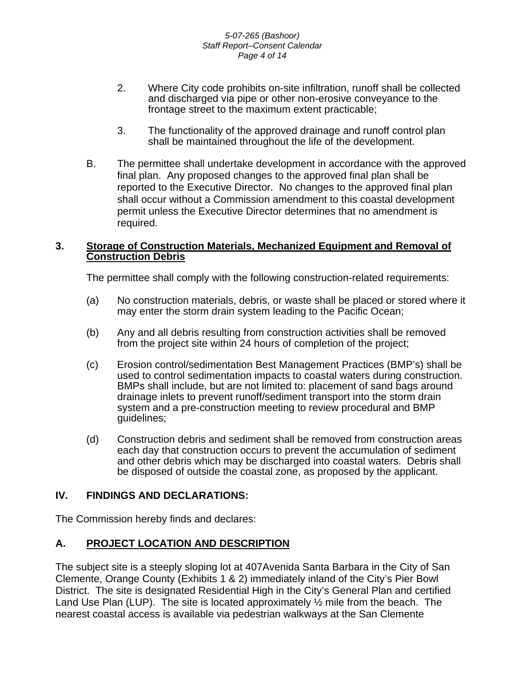- 2. Where City code prohibits on-site infiltration, runoff shall be collected and discharged via pipe or other non-erosive conveyance to the frontage street to the maximum extent practicable;
- 3. The functionality of the approved drainage and runoff control plan shall be maintained throughout the life of the development.
- B. The permittee shall undertake development in accordance with the approved final plan. Any proposed changes to the approved final plan shall be reported to the Executive Director. No changes to the approved final plan shall occur without a Commission amendment to this coastal development permit unless the Executive Director determines that no amendment is required.

## **3. Storage of Construction Materials, Mechanized Equipment and Removal of Construction Debris**

The permittee shall comply with the following construction-related requirements:

- (a) No construction materials, debris, or waste shall be placed or stored where it may enter the storm drain system leading to the Pacific Ocean;
- (b) Any and all debris resulting from construction activities shall be removed from the project site within 24 hours of completion of the project;
- (c) Erosion control/sedimentation Best Management Practices (BMP's) shall be used to control sedimentation impacts to coastal waters during construction. BMPs shall include, but are not limited to: placement of sand bags around drainage inlets to prevent runoff/sediment transport into the storm drain system and a pre-construction meeting to review procedural and BMP guidelines;
- (d) Construction debris and sediment shall be removed from construction areas each day that construction occurs to prevent the accumulation of sediment and other debris which may be discharged into coastal waters. Debris shall be disposed of outside the coastal zone, as proposed by the applicant.

## **IV. FINDINGS AND DECLARATIONS:**

The Commission hereby finds and declares:

## **A. PROJECT LOCATION AND DESCRIPTION**

The subject site is a steeply sloping lot at 407Avenida Santa Barbara in the City of San Clemente, Orange County (Exhibits 1 & 2) immediately inland of the City's Pier Bowl District. The site is designated Residential High in the City's General Plan and certified Land Use Plan (LUP). The site is located approximately  $\frac{1}{2}$  mile from the beach. The nearest coastal access is available via pedestrian walkways at the San Clemente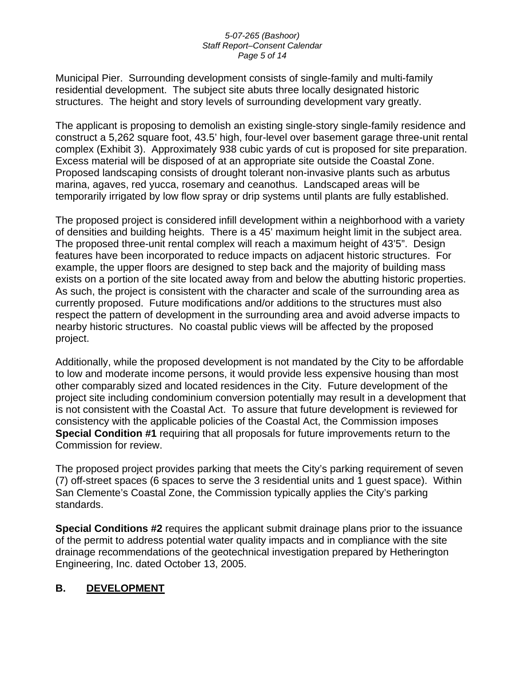### *5-07-265 (Bashoor) Staff Report–Consent Calendar Page 5 of 14*

Municipal Pier. Surrounding development consists of single-family and multi-family residential development. The subject site abuts three locally designated historic structures. The height and story levels of surrounding development vary greatly.

The applicant is proposing to demolish an existing single-story single-family residence and construct a 5,262 square foot, 43.5' high, four-level over basement garage three-unit rental complex (Exhibit 3). Approximately 938 cubic yards of cut is proposed for site preparation. Excess material will be disposed of at an appropriate site outside the Coastal Zone. Proposed landscaping consists of drought tolerant non-invasive plants such as arbutus marina, agaves, red yucca, rosemary and ceanothus. Landscaped areas will be temporarily irrigated by low flow spray or drip systems until plants are fully established.

The proposed project is considered infill development within a neighborhood with a variety of densities and building heights. There is a 45' maximum height limit in the subject area. The proposed three-unit rental complex will reach a maximum height of 43'5". Design features have been incorporated to reduce impacts on adjacent historic structures. For example, the upper floors are designed to step back and the majority of building mass exists on a portion of the site located away from and below the abutting historic properties. As such, the project is consistent with the character and scale of the surrounding area as currently proposed. Future modifications and/or additions to the structures must also respect the pattern of development in the surrounding area and avoid adverse impacts to nearby historic structures. No coastal public views will be affected by the proposed project.

Additionally, while the proposed development is not mandated by the City to be affordable to low and moderate income persons, it would provide less expensive housing than most other comparably sized and located residences in the City. Future development of the project site including condominium conversion potentially may result in a development that is not consistent with the Coastal Act. To assure that future development is reviewed for consistency with the applicable policies of the Coastal Act, the Commission imposes **Special Condition #1** requiring that all proposals for future improvements return to the Commission for review.

The proposed project provides parking that meets the City's parking requirement of seven (7) off-street spaces (6 spaces to serve the 3 residential units and 1 guest space). Within San Clemente's Coastal Zone, the Commission typically applies the City's parking standards.

**Special Conditions #2** requires the applicant submit drainage plans prior to the issuance of the permit to address potential water quality impacts and in compliance with the site drainage recommendations of the geotechnical investigation prepared by Hetherington Engineering, Inc. dated October 13, 2005.

## **B. DEVELOPMENT**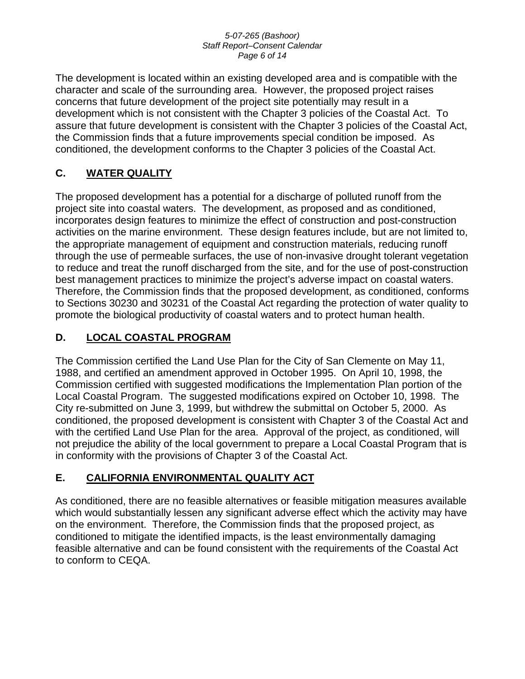### *5-07-265 (Bashoor) Staff Report–Consent Calendar Page 6 of 14*

The development is located within an existing developed area and is compatible with the character and scale of the surrounding area. However, the proposed project raises concerns that future development of the project site potentially may result in a development which is not consistent with the Chapter 3 policies of the Coastal Act. To assure that future development is consistent with the Chapter 3 policies of the Coastal Act, the Commission finds that a future improvements special condition be imposed. As conditioned, the development conforms to the Chapter 3 policies of the Coastal Act.

# **C. WATER QUALITY**

The proposed development has a potential for a discharge of polluted runoff from the project site into coastal waters. The development, as proposed and as conditioned, incorporates design features to minimize the effect of construction and post-construction activities on the marine environment. These design features include, but are not limited to, the appropriate management of equipment and construction materials, reducing runoff through the use of permeable surfaces, the use of non-invasive drought tolerant vegetation to reduce and treat the runoff discharged from the site, and for the use of post-construction best management practices to minimize the project's adverse impact on coastal waters. Therefore, the Commission finds that the proposed development, as conditioned, conforms to Sections 30230 and 30231 of the Coastal Act regarding the protection of water quality to promote the biological productivity of coastal waters and to protect human health.

## **D. LOCAL COASTAL PROGRAM**

The Commission certified the Land Use Plan for the City of San Clemente on May 11, 1988, and certified an amendment approved in October 1995. On April 10, 1998, the Commission certified with suggested modifications the Implementation Plan portion of the Local Coastal Program. The suggested modifications expired on October 10, 1998. The City re-submitted on June 3, 1999, but withdrew the submittal on October 5, 2000. As conditioned, the proposed development is consistent with Chapter 3 of the Coastal Act and with the certified Land Use Plan for the area. Approval of the project, as conditioned, will not prejudice the ability of the local government to prepare a Local Coastal Program that is in conformity with the provisions of Chapter 3 of the Coastal Act.

## **E. CALIFORNIA ENVIRONMENTAL QUALITY ACT**

As conditioned, there are no feasible alternatives or feasible mitigation measures available which would substantially lessen any significant adverse effect which the activity may have on the environment. Therefore, the Commission finds that the proposed project, as conditioned to mitigate the identified impacts, is the least environmentally damaging feasible alternative and can be found consistent with the requirements of the Coastal Act to conform to CEQA.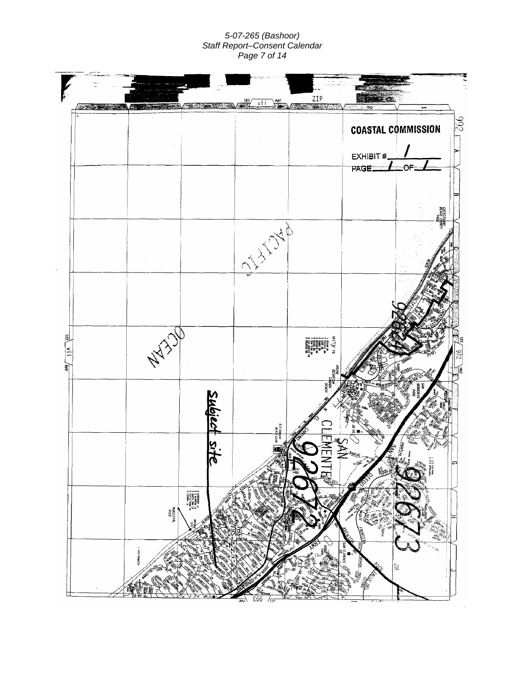*5-07-265 (Bashoor) Staff Report–Consent Calendar Page 7 of 14*

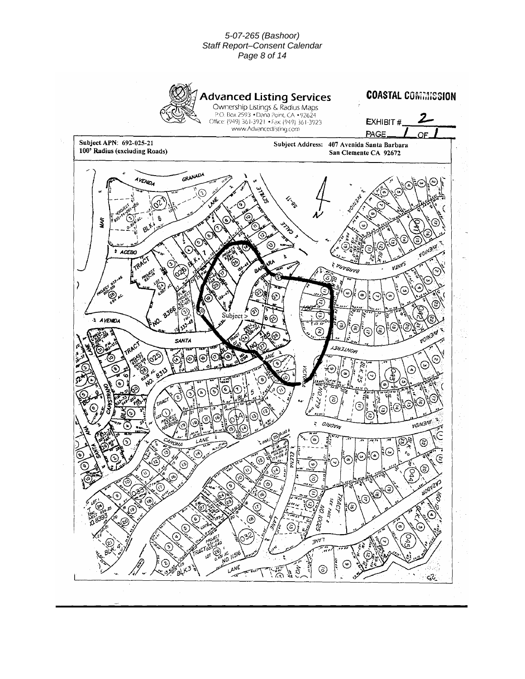### *5-07-265 (Bashoor) Staff Report–Consent Calendar Page 8 of 14*

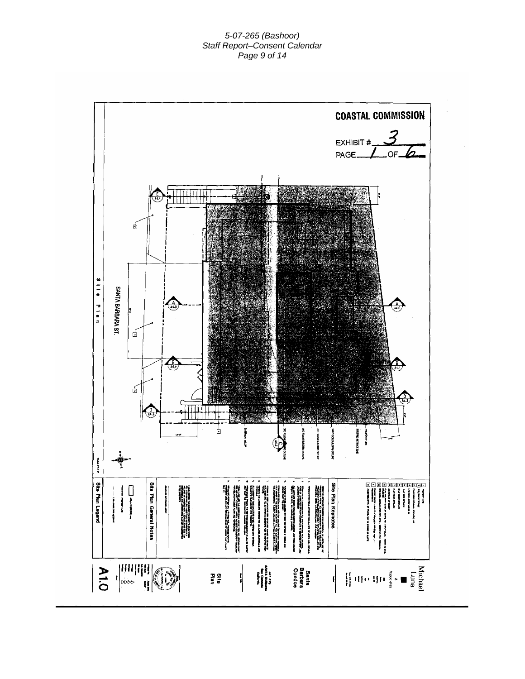### *5-07-265 (Bashoor) Staff Report–Consent Calendar Page 9 of 14*

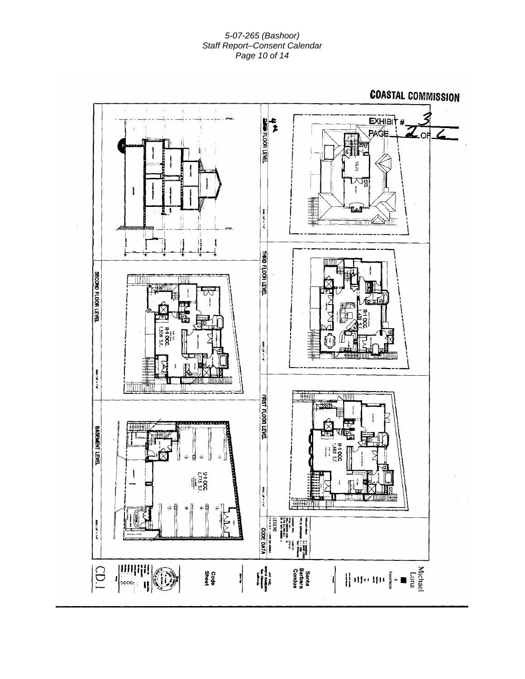### *5-07-265 (Bashoor) Staff Report–Consent Calendar Page 10 of 14*

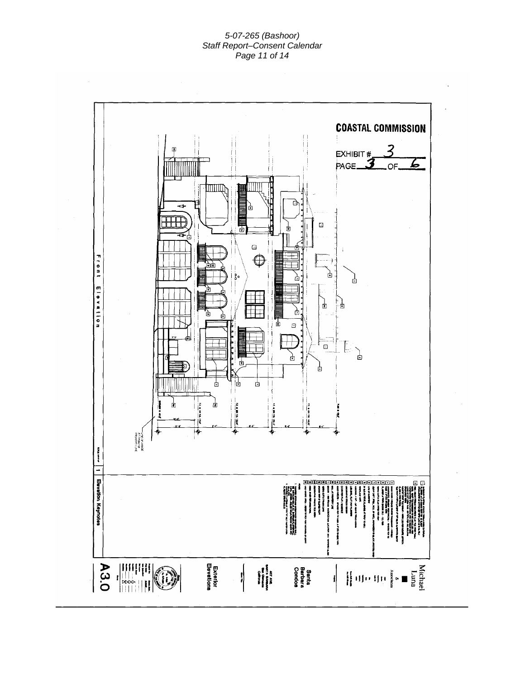### *5-07-265 (Bashoor) Staff Report–Consent Calendar Page 11 of 14*

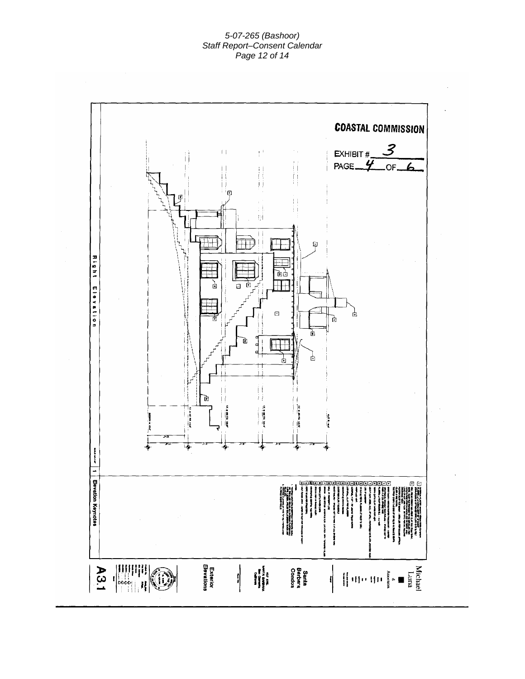### *5-07-265 (Bashoor) Staff Report–Consent Calendar Page 12 of 14*

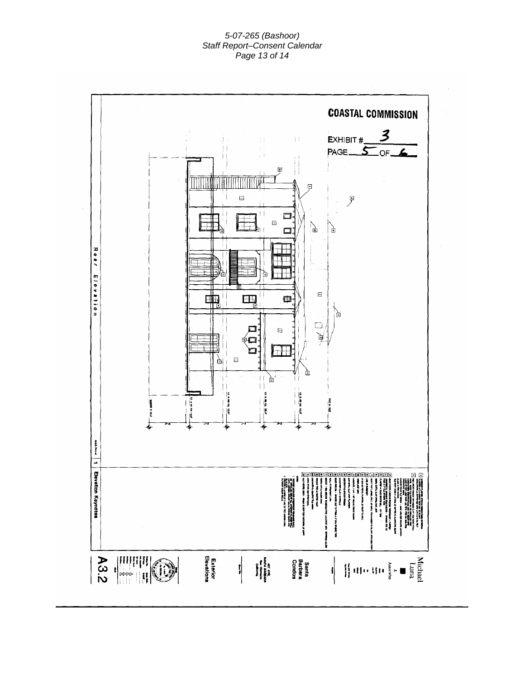### *5-07-265 (Bashoor) Staff Report–Consent Calendar Page 13 of 14*